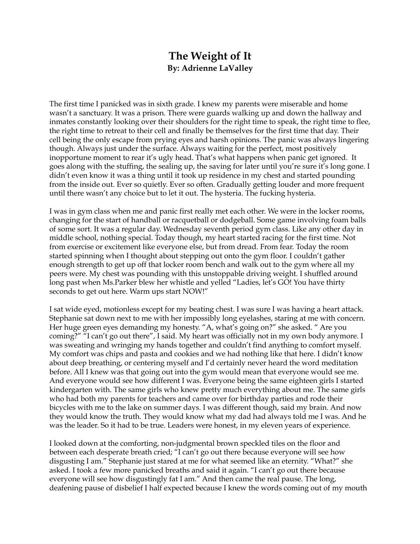## **The Weight of It By: Adrienne LaValley**

The first time I panicked was in sixth grade. I knew my parents were miserable and home wasn't a sanctuary. It was a prison. There were guards walking up and down the hallway and inmates constantly looking over their shoulders for the right time to speak, the right time to flee, the right time to retreat to their cell and finally be themselves for the first time that day. Their cell being the only escape from prying eyes and harsh opinions. The panic was always lingering though. Always just under the surface. Always waiting for the perfect, most positively inopportune moment to rear it's ugly head. That's what happens when panic get ignored. It goes along with the stuffing, the sealing up, the saving for later until you're sure it's long gone. I didn't even know it was a thing until it took up residence in my chest and started pounding from the inside out. Ever so quietly. Ever so often. Gradually getting louder and more frequent until there wasn't any choice but to let it out. The hysteria. The fucking hysteria.

I was in gym class when me and panic first really met each other. We were in the locker rooms, changing for the start of handball or racquetball or dodgeball. Some game involving foam balls of some sort. It was a regular day. Wednesday seventh period gym class. Like any other day in middle school, nothing special. Today though, my heart started racing for the first time. Not from exercise or excitement like everyone else, but from dread. From fear. Today the room started spinning when I thought about stepping out onto the gym floor. I couldn't gather enough strength to get up off that locker room bench and walk out to the gym where all my peers were. My chest was pounding with this unstoppable driving weight. I shuffled around long past when Ms.Parker blew her whistle and yelled "Ladies, let's GO! You have thirty seconds to get out here. Warm ups start NOW!"

I sat wide eyed, motionless except for my beating chest. I was sure I was having a heart attack. Stephanie sat down next to me with her impossibly long eyelashes, staring at me with concern. Her huge green eyes demanding my honesty. "A, what's going on?" she asked. " Are you coming?" "I can't go out there", I said. My heart was officially not in my own body anymore. I was sweating and wringing my hands together and couldn't find anything to comfort myself. My comfort was chips and pasta and cookies and we had nothing like that here. I didn't know about deep breathing, or centering myself and I'd certainly never heard the word meditation before. All I knew was that going out into the gym would mean that everyone would see me. And everyone would see how different I was. Everyone being the same eighteen girls I started kindergarten with. The same girls who knew pretty much everything about me. The same girls who had both my parents for teachers and came over for birthday parties and rode their bicycles with me to the lake on summer days. I was different though, said my brain. And now they would know the truth. They would know what my dad had always told me I was. And he was the leader. So it had to be true. Leaders were honest, in my eleven years of experience.

I looked down at the comforting, non-judgmental brown speckled tiles on the floor and between each desperate breath cried; "I can't go out there because everyone will see how disgusting I am." Stephanie just stared at me for what seemed like an eternity. "What?" she asked. I took a few more panicked breaths and said it again. "I can't go out there because everyone will see how disgustingly fat I am." And then came the real pause. The long, deafening pause of disbelief I half expected because I knew the words coming out of my mouth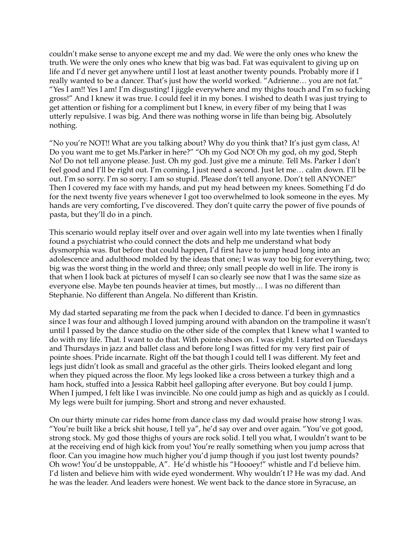couldn't make sense to anyone except me and my dad. We were the only ones who knew the truth. We were the only ones who knew that big was bad. Fat was equivalent to giving up on life and I'd never get anywhere until I lost at least another twenty pounds. Probably more if I really wanted to be a dancer. That's just how the world worked. "Adrienne… you are not fat." "Yes I am!! Yes I am! I'm disgusting! I jiggle everywhere and my thighs touch and I'm so fucking gross!" And I knew it was true. I could feel it in my bones. I wished to death I was just trying to get attention or fishing for a compliment but I knew, in every fiber of my being that I was utterly repulsive. I was big. And there was nothing worse in life than being big. Absolutely nothing.

"No you're NOT!! What are you talking about? Why do you think that? It's just gym class, A! Do you want me to get Ms.Parker in here?" "Oh my God NO! Oh my god, oh my god, Steph No! Do not tell anyone please. Just. Oh my god. Just give me a minute. Tell Ms. Parker I don't feel good and I'll be right out. I'm coming, I just need a second. Just let me… calm down. I'll be out. I'm so sorry. I'm so sorry. I am so stupid. Please don't tell anyone. Don't tell ANYONE!" Then I covered my face with my hands, and put my head between my knees. Something I'd do for the next twenty five years whenever I got too overwhelmed to look someone in the eyes. My hands are very comforting, I've discovered. They don't quite carry the power of five pounds of pasta, but they'll do in a pinch.

This scenario would replay itself over and over again well into my late twenties when I finally found a psychiatrist who could connect the dots and help me understand what body dysmorphia was. But before that could happen, I'd first have to jump head long into an adolescence and adulthood molded by the ideas that one; I was way too big for everything, two; big was the worst thing in the world and three; only small people do well in life. The irony is that when I look back at pictures of myself I can so clearly see now that I was the same size as everyone else. Maybe ten pounds heavier at times, but mostly… I was no different than Stephanie. No different than Angela. No different than Kristin.

My dad started separating me from the pack when I decided to dance. I'd been in gymnastics since I was four and although I loved jumping around with abandon on the trampoline it wasn't until I passed by the dance studio on the other side of the complex that I knew what I wanted to do with my life. That. I want to do that. With pointe shoes on. I was eight. I started on Tuesdays and Thursdays in jazz and ballet class and before long I was fitted for my very first pair of pointe shoes. Pride incarnate. Right off the bat though I could tell I was different. My feet and legs just didn't look as small and graceful as the other girls. Theirs looked elegant and long when they piqued across the floor. My legs looked like a cross between a turkey thigh and a ham hock, stuffed into a Jessica Rabbit heel galloping after everyone. But boy could I jump. When I jumped, I felt like I was invincible. No one could jump as high and as quickly as I could. My legs were built for jumping. Short and strong and never exhausted.

On our thirty minute car rides home from dance class my dad would praise how strong I was. "You're built like a brick shit house, I tell ya", he'd say over and over again. "You've got good, strong stock. My god those thighs of yours are rock solid. I tell you what, I wouldn't want to be at the receiving end of high kick from you! You're really something when you jump across that floor. Can you imagine how much higher you'd jump though if you just lost twenty pounds? Oh wow! You'd be unstoppable, A". He'd whistle his "Hoooey!" whistle and I'd believe him. I'd listen and believe him with wide eyed wonderment. Why wouldn't I? He was my dad. And he was the leader. And leaders were honest. We went back to the dance store in Syracuse, an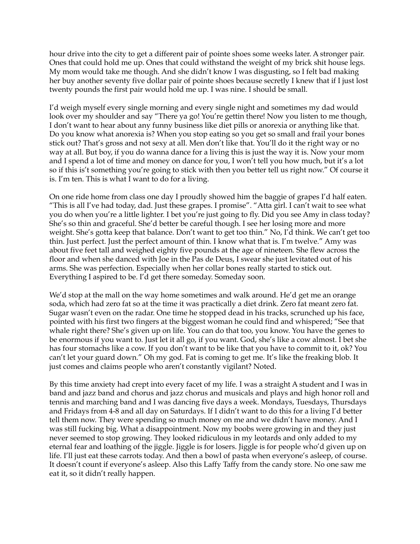hour drive into the city to get a different pair of pointe shoes some weeks later. A stronger pair. Ones that could hold me up. Ones that could withstand the weight of my brick shit house legs. My mom would take me though. And she didn't know I was disgusting, so I felt bad making her buy another seventy five dollar pair of pointe shoes because secretly I knew that if I just lost twenty pounds the first pair would hold me up. I was nine. I should be small.

I'd weigh myself every single morning and every single night and sometimes my dad would look over my shoulder and say "There ya go! You're gettin there! Now you listen to me though, I don't want to hear about any funny business like diet pills or anorexia or anything like that. Do you know what anorexia is? When you stop eating so you get so small and frail your bones stick out? That's gross and not sexy at all. Men don't like that. You'll do it the right way or no way at all. But boy, if you do wanna dance for a living this is just the way it is. Now your mom and I spend a lot of time and money on dance for you, I won't tell you how much, but it's a lot so if this is't something you're going to stick with then you better tell us right now." Of course it is. I'm ten. This is what I want to do for a living.

On one ride home from class one day I proudly showed him the baggie of grapes I'd half eaten. "This is all I've had today, dad. Just these grapes. I promise". "Atta girl. I can't wait to see what you do when you're a little lighter. I bet you're just going to fly. Did you see Amy in class today? She's so thin and graceful. She'd better be careful though. I see her losing more and more weight. She's gotta keep that balance. Don't want to get too thin." No, I'd think. We can't get too thin. Just perfect. Just the perfect amount of thin. I know what that is. I'm twelve." Amy was about five feet tall and weighed eighty five pounds at the age of nineteen. She flew across the floor and when she danced with Joe in the Pas de Deus, I swear she just levitated out of his arms. She was perfection. Especially when her collar bones really started to stick out. Everything I aspired to be. I'd get there someday. Someday soon.

We'd stop at the mall on the way home sometimes and walk around. He'd get me an orange soda, which had zero fat so at the time it was practically a diet drink. Zero fat meant zero fat. Sugar wasn't even on the radar. One time he stopped dead in his tracks, scrunched up his face, pointed with his first two fingers at the biggest woman he could find and whispered; "See that whale right there? She's given up on life. You can do that too, you know. You have the genes to be enormous if you want to. Just let it all go, if you want. God, she's like a cow almost. I bet she has four stomachs like a cow. If you don't want to be like that you have to commit to it, ok? You can't let your guard down." Oh my god. Fat is coming to get me. It's like the freaking blob. It just comes and claims people who aren't constantly vigilant? Noted.

By this time anxiety had crept into every facet of my life. I was a straight A student and I was in band and jazz band and chorus and jazz chorus and musicals and plays and high honor roll and tennis and marching band and I was dancing five days a week. Mondays, Tuesdays, Thursdays and Fridays from 4-8 and all day on Saturdays. If I didn't want to do this for a living I'd better tell them now. They were spending so much money on me and we didn't have money. And I was still fucking big. What a disappointment. Now my boobs were growing in and they just never seemed to stop growing. They looked ridiculous in my leotards and only added to my eternal fear and loathing of the jiggle. Jiggle is for losers. Jiggle is for people who'd given up on life. I'll just eat these carrots today. And then a bowl of pasta when everyone's asleep, of course. It doesn't count if everyone's asleep. Also this Laffy Taffy from the candy store. No one saw me eat it, so it didn't really happen.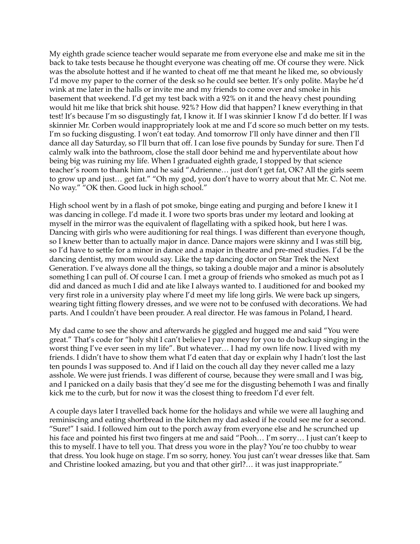My eighth grade science teacher would separate me from everyone else and make me sit in the back to take tests because he thought everyone was cheating off me. Of course they were. Nick was the absolute hottest and if he wanted to cheat off me that meant he liked me, so obviously I'd move my paper to the corner of the desk so he could see better. It's only polite. Maybe he'd wink at me later in the halls or invite me and my friends to come over and smoke in his basement that weekend. I'd get my test back with a 92% on it and the heavy chest pounding would hit me like that brick shit house. 92%? How did that happen? I knew everything in that test! It's because I'm so disgustingly fat, I know it. If I was skinnier I know I'd do better. If I was skinnier Mr. Corben would inappropriately look at me and I'd score so much better on my tests. I'm so fucking disgusting. I won't eat today. And tomorrow I'll only have dinner and then I'll dance all day Saturday, so I'll burn that off. I can lose five pounds by Sunday for sure. Then I'd calmly walk into the bathroom, close the stall door behind me and hyperventilate about how being big was ruining my life. When I graduated eighth grade, I stopped by that science teacher's room to thank him and he said "Adrienne… just don't get fat, OK? All the girls seem to grow up and just… get fat." "Oh my god, you don't have to worry about that Mr. C. Not me. No way." "OK then. Good luck in high school."

High school went by in a flash of pot smoke, binge eating and purging and before I knew it I was dancing in college. I'd made it. I wore two sports bras under my leotard and looking at myself in the mirror was the equivalent of flagellating with a spiked hook, but here I was. Dancing with girls who were auditioning for real things. I was different than everyone though, so I knew better than to actually major in dance. Dance majors were skinny and I was still big, so I'd have to settle for a minor in dance and a major in theatre and pre-med studies. I'd be the dancing dentist, my mom would say. Like the tap dancing doctor on Star Trek the Next Generation. I've always done all the things, so taking a double major and a minor is absolutely something I can pull of. Of course I can. I met a group of friends who smoked as much pot as I did and danced as much I did and ate like I always wanted to. I auditioned for and booked my very first role in a university play where I'd meet my life long girls. We were back up singers, wearing tight fitting flowery dresses, and we were not to be confused with decorations. We had parts. And I couldn't have been prouder. A real director. He was famous in Poland, I heard.

My dad came to see the show and afterwards he giggled and hugged me and said "You were great." That's code for "holy shit I can't believe I pay money for you to do backup singing in the worst thing I've ever seen in my life". But whatever… I had my own life now. I lived with my friends. I didn't have to show them what I'd eaten that day or explain why I hadn't lost the last ten pounds I was supposed to. And if I laid on the couch all day they never called me a lazy asshole. We were just friends. I was different of course, because they were small and I was big, and I panicked on a daily basis that they'd see me for the disgusting behemoth I was and finally kick me to the curb, but for now it was the closest thing to freedom I'd ever felt.

A couple days later I travelled back home for the holidays and while we were all laughing and reminiscing and eating shortbread in the kitchen my dad asked if he could see me for a second. "Sure!" I said. I followed him out to the porch away from everyone else and he scrunched up his face and pointed his first two fingers at me and said "Pooh... I'm sorry... I just can't keep to this to myself. I have to tell you. That dress you wore in the play? You're too chubby to wear that dress. You look huge on stage. I'm so sorry, honey. You just can't wear dresses like that. Sam and Christine looked amazing, but you and that other girl?… it was just inappropriate."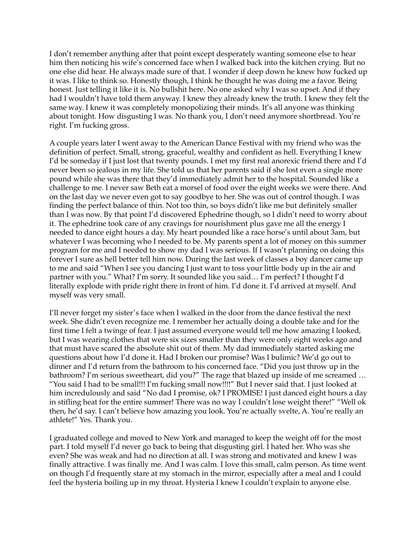I don't remember anything after that point except desperately wanting someone else to hear him then noticing his wife's concerned face when I walked back into the kitchen crying. But no one else did hear. He always made sure of that. I wonder if deep down he knew how fucked up it was. I like to think so. Honestly though, I think he thought he was doing me a favor. Being honest. Just telling it like it is. No bullshit here. No one asked why I was so upset. And if they had I wouldn't have told them anyway. I knew they already knew the truth. I knew they felt the same way. I knew it was completely monopolizing their minds. It's all anyone was thinking about tonight. How disgusting I was. No thank you, I don't need anymore shortbread. You're right. I'm fucking gross.

A couple years later I went away to the American Dance Festival with my friend who was the definition of perfect. Small, strong, graceful, wealthy and confident as hell. Everything I knew I'd be someday if I just lost that twenty pounds. I met my first real anorexic friend there and I'd never been so jealous in my life. She told us that her parents said if she lost even a single more pound while she was there that they'd immediately admit her to the hospital. Sounded like a challenge to me. I never saw Beth eat a morsel of food over the eight weeks we were there. And on the last day we never even got to say goodbye to her. She was out of control though. I was finding the perfect balance of thin. Not too thin, so boys didn't like me but definitely smaller than I was now. By that point I'd discovered Ephedrine though, so I didn't need to worry about it. The ephedrine took care of any cravings for nourishment plus gave me all the energy I needed to dance eight hours a day. My heart pounded like a race horse's until about 3am, but whatever I was becoming who I needed to be. My parents spent a lot of money on this summer program for me and I needed to show my dad I was serious. If I wasn't planning on doing this forever I sure as hell better tell him now. During the last week of classes a boy dancer came up to me and said "When I see you dancing I just want to toss your little body up in the air and partner with you." What? I'm sorry. It sounded like you said… I'm perfect? I thought I'd literally explode with pride right there in front of him. I'd done it. I'd arrived at myself. And myself was very small.

I'll never forget my sister's face when I walked in the door from the dance festival the next week. She didn't even recognize me. I remember her actually doing a double take and for the first time I felt a twinge of fear. I just assumed everyone would tell me how amazing I looked, but I was wearing clothes that were six sizes smaller than they were only eight weeks ago and that must have scared the absolute shit out of them. My dad immediately started asking me questions about how I'd done it. Had I broken our promise? Was I bulimic? We'd go out to dinner and I'd return from the bathroom to his concerned face. "Did you just throw up in the bathroom? I'm serious sweetheart, did you?" The rage that blazed up inside of me screamed … "You said I had to be small!!! I'm fucking small now!!!!" But I never said that. I just looked at him incredulously and said "No dad I promise, ok? I PROMISE! I just danced eight hours a day in stifling heat for the entire summer! There was no way I couldn't lose weight there!" "Well ok then, he'd say. I can't believe how amazing you look. You're actually svelte, A. You're really an athlete!" Yes. Thank you.

I graduated college and moved to New York and managed to keep the weight off for the most part. I told myself I'd never go back to being that disgusting girl. I hated her. Who was she even? She was weak and had no direction at all. I was strong and motivated and knew I was finally attractive. I was finally me. And I was calm. I love this small, calm person. As time went on though I'd frequently stare at my stomach in the mirror, especially after a meal and I could feel the hysteria boiling up in my throat. Hysteria I knew I couldn't explain to anyone else.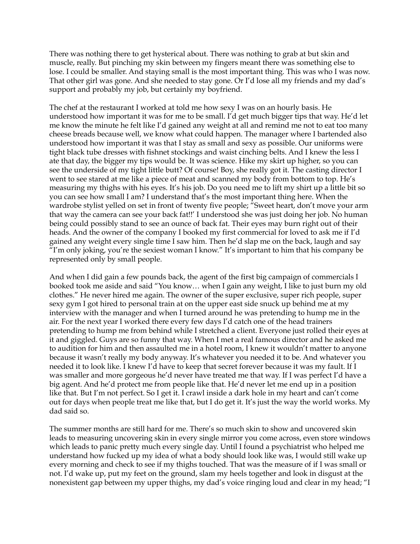There was nothing there to get hysterical about. There was nothing to grab at but skin and muscle, really. But pinching my skin between my fingers meant there was something else to lose. I could be smaller. And staying small is the most important thing. This was who I was now. That other girl was gone. And she needed to stay gone. Or I'd lose all my friends and my dad's support and probably my job, but certainly my boyfriend.

The chef at the restaurant I worked at told me how sexy I was on an hourly basis. He understood how important it was for me to be small. I'd get much bigger tips that way. He'd let me know the minute he felt like I'd gained any weight at all and remind me not to eat too many cheese breads because well, we know what could happen. The manager where I bartended also understood how important it was that I stay as small and sexy as possible. Our uniforms were tight black tube dresses with fishnet stockings and waist cinching belts. And I knew the less I ate that day, the bigger my tips would be. It was science. Hike my skirt up higher, so you can see the underside of my tight little butt? Of course! Boy, she really got it. The casting director I went to see stared at me like a piece of meat and scanned my body from bottom to top. He's measuring my thighs with his eyes. It's his job. Do you need me to lift my shirt up a little bit so you can see how small I am? I understand that's the most important thing here. When the wardrobe stylist yelled on set in front of twenty five people; "Sweet heart, don't move your arm that way the camera can see your back fat!!' I understood she was just doing her job. No human being could possibly stand to see an ounce of back fat. Their eyes may burn right out of their heads. And the owner of the company I booked my first commercial for loved to ask me if I'd gained any weight every single time I saw him. Then he'd slap me on the back, laugh and say "I'm only joking, you're the sexiest woman I know." It's important to him that his company be represented only by small people.

And when I did gain a few pounds back, the agent of the first big campaign of commercials I booked took me aside and said "You know… when I gain any weight, I like to just burn my old clothes." He never hired me again. The owner of the super exclusive, super rich people, super sexy gym I got hired to personal train at on the upper east side snuck up behind me at my interview with the manager and when I turned around he was pretending to hump me in the air. For the next year I worked there every few days I'd catch one of the head trainers pretending to hump me from behind while I stretched a client. Everyone just rolled their eyes at it and giggled. Guys are so funny that way. When I met a real famous director and he asked me to audition for him and then assaulted me in a hotel room, I knew it wouldn't matter to anyone because it wasn't really my body anyway. It's whatever you needed it to be. And whatever you needed it to look like. I knew I'd have to keep that secret forever because it was my fault. If I was smaller and more gorgeous he'd never have treated me that way. If I was perfect I'd have a big agent. And he'd protect me from people like that. He'd never let me end up in a position like that. But I'm not perfect. So I get it. I crawl inside a dark hole in my heart and can't come out for days when people treat me like that, but I do get it. It's just the way the world works. My dad said so.

The summer months are still hard for me. There's so much skin to show and uncovered skin leads to measuring uncovering skin in every single mirror you come across, even store windows which leads to panic pretty much every single day. Until I found a psychiatrist who helped me understand how fucked up my idea of what a body should look like was, I would still wake up every morning and check to see if my thighs touched. That was the measure of if I was small or not. I'd wake up, put my feet on the ground, slam my heels together and look in disgust at the nonexistent gap between my upper thighs, my dad's voice ringing loud and clear in my head; "I